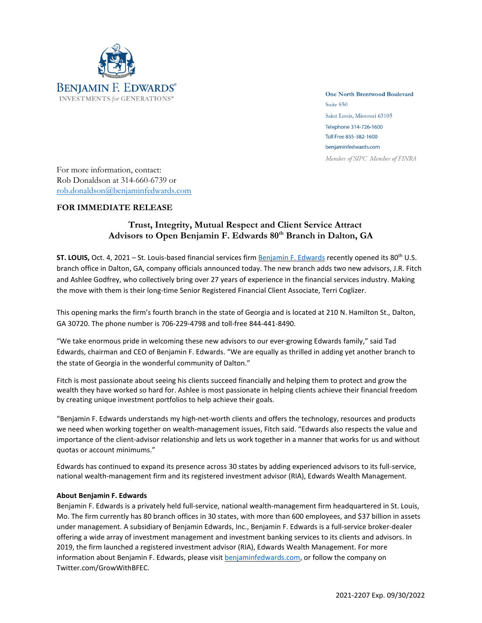

**One North Brentwood Boulevard** Suite 850 Saint Louis, Missouri 63105 Telephone 314-726-1600 Toll Free 855-382-1600 benjaminfedwards.com Member of SIPC Member of FINRA

For more information, contact: Rob Donaldson at 314-660-6739 or [rob.donaldson@benjaminfedwards.com](mailto:rob.donaldson@benjaminfedwards.com)

## **FOR IMMEDIATE RELEASE**

## **Trust, Integrity, Mutual Respect and Client Service Attract Advisors to Open Benjamin F. Edwards 80th Branch in Dalton, GA**

**ST. LOUIS,** Oct. 4, 2021 – St. Louis-based financial services firm [Benjamin](https://benjaminfedwards.com/) F. Edwards recently opened its 80th U.S. branch office in Dalton, GA, company officials announced today. The new branch adds two new advisors, J.R. Fitch and Ashlee Godfrey, who collectively bring over 27 years of experience in the financial services industry. Making the move with them is their long-time Senior Registered Financial Client Associate, Terri Coglizer.

This opening marks the firm's fourth branch in the state of Georgia and is located at 210 N. Hamilton St., Dalton, GA 30720. The phone number is 706-229-4798 and toll-free 844-441-8490.

"We take enormous pride in welcoming these new advisors to our ever-growing Edwards family," said Tad Edwards, chairman and CEO of Benjamin F. Edwards. "We are equally as thrilled in adding yet another branch to the state of Georgia in the wonderful community of Dalton."

Fitch is most passionate about seeing his clients succeed financially and helping them to protect and grow the wealth they have worked so hard for. Ashlee is most passionate in helping clients achieve their financial freedom by creating unique investment portfolios to help achieve their goals.

"Benjamin F. Edwards understands my high-net-worth clients and offers the technology, resources and products we need when working together on wealth-management issues, Fitch said. "Edwards also respects the value and importance of the client-advisor relationship and lets us work together in a manner that works for us and without quotas or account minimums."

Edwards has continued to expand its presence across 30 states by adding experienced advisors to its full-service, national wealth-management firm and its registered investment advisor (RIA), Edwards Wealth Management.

## **About Benjamin F. Edwards**

Benjamin F. Edwards is a privately held full-service, national wealth-management firm headquartered in St. Louis, Mo. The firm currently has 80 branch offices in 30 states, with more than 600 employees, and \$37 billion in assets under management. A subsidiary of Benjamin Edwards, Inc., Benjamin F. Edwards is a full-service broker-dealer offering a wide array of investment management and investment banking services to its clients and advisors. In 2019, the firm launched a registered investment advisor (RIA), Edwards Wealth Management. For more information about Benjamin F. Edwards, please visit **benjaminfedwards.com**, or follow the company on Twitter.com/GrowWithBFEC.